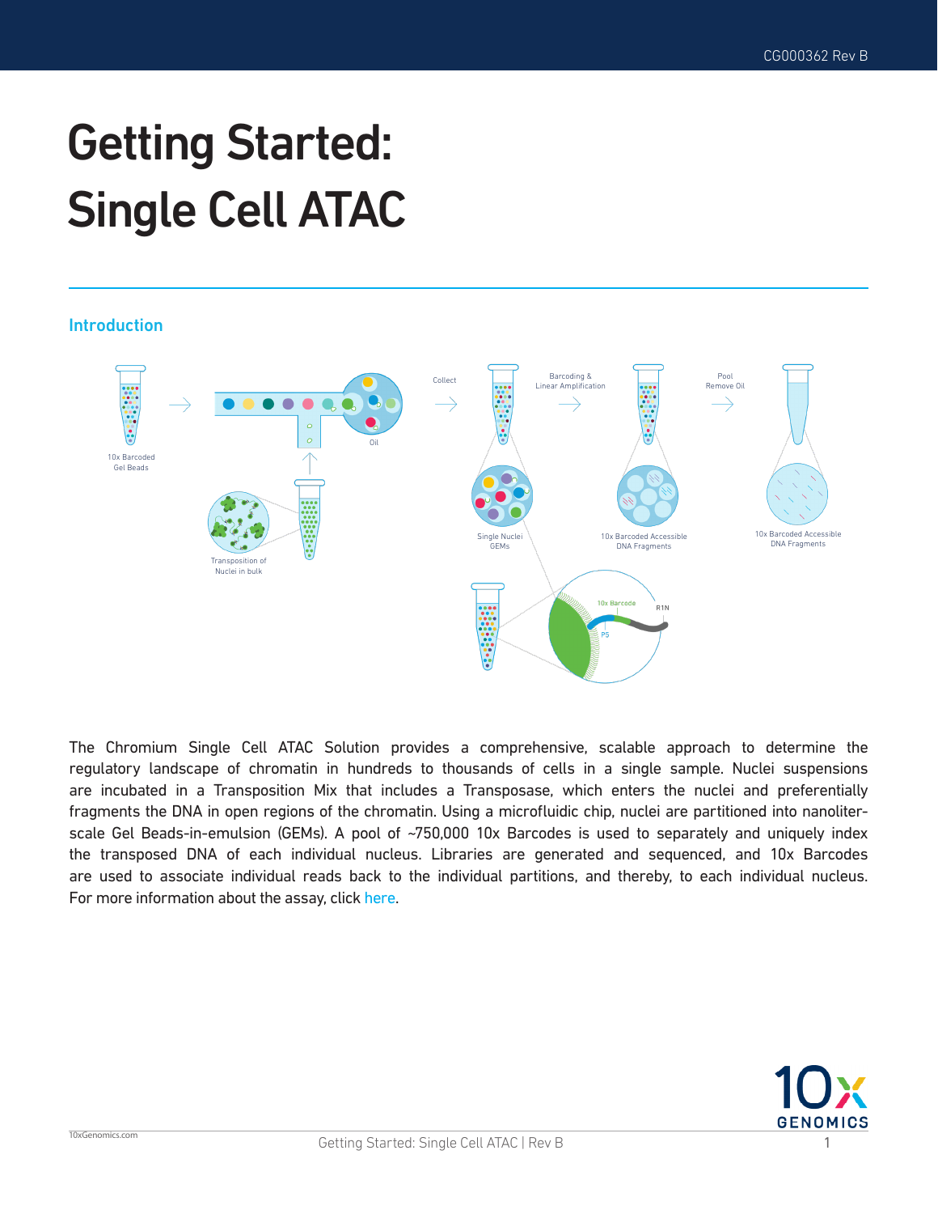# Getting Started: Single Cell ATAC

### Introduction



The Chromium Single Cell ATAC Solution provides a comprehensive, scalable approach to determine the regulatory landscape of chromatin in hundreds to thousands of cells in a single sample. Nuclei suspensions are incubated in a Transposition Mix that includes a Transposase, which enters the nuclei and preferentially fragments the DNA in open regions of the chromatin. Using a microfluidic chip, nuclei are partitioned into nanoliterscale Gel Beads-in-emulsion (GEMs). A pool of ~750,000 10x Barcodes is used to separately and uniquely index the transposed DNA of each individual nucleus. Libraries are generated and sequenced, and 10x Barcodes are used to associate individual reads back to the individual partitions, and thereby, to each individual nucleus. For more information about the assay, click [here](https://pages.10xgenomics.com/sup-training-single-cell-atac.html).

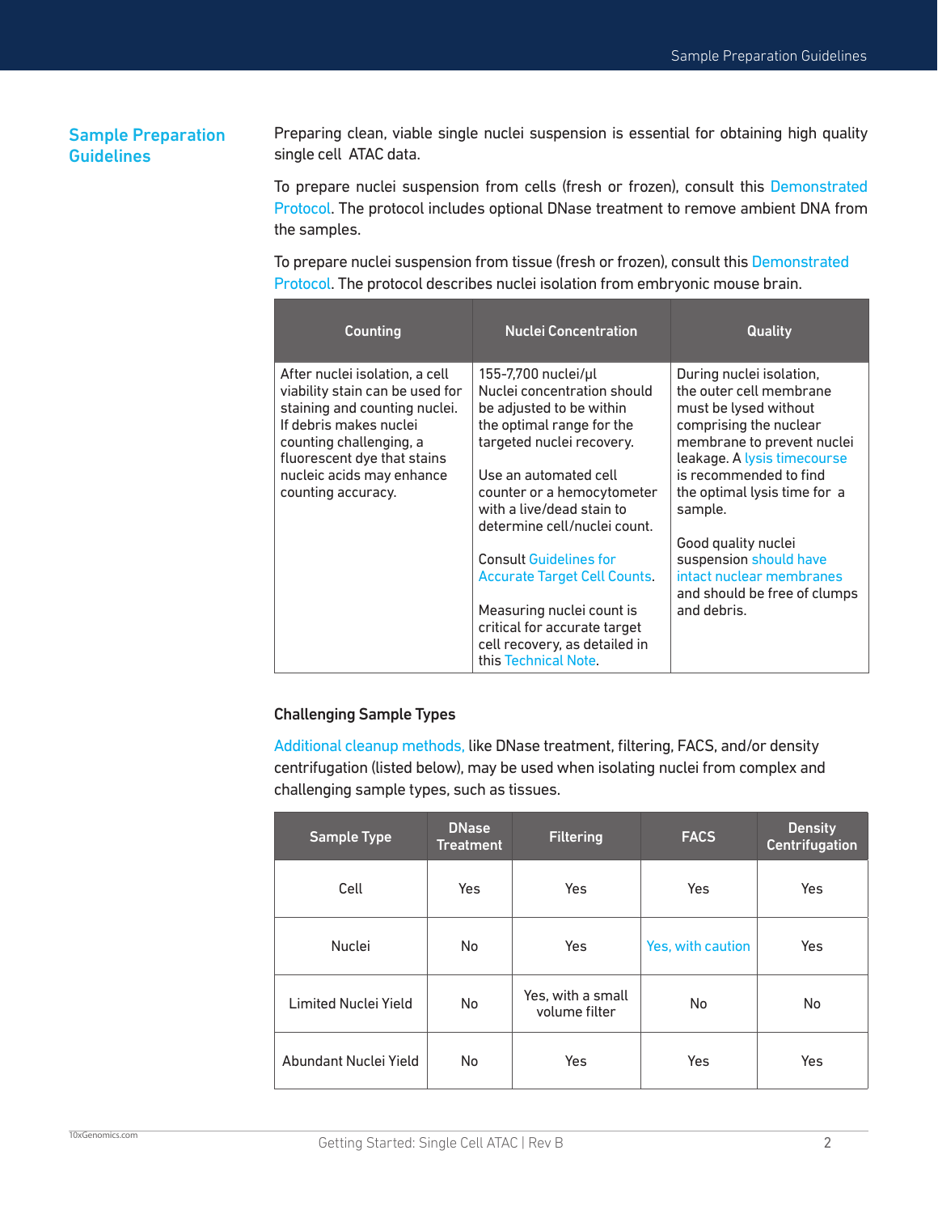## Sample Preparation **Guidelines**

Preparing clean, viable single nuclei suspension is essential for obtaining high quality single cell ATAC data.

To prepare nuclei suspension from cells (fresh or frozen), consult this [Demonstrated](https://support.10xgenomics.com/single-cell-atac/sample-prep/doc/demonstrated-protocol-nuclei-isolation-for-single-cell-atac-sequencing)  [Protocol.](https://support.10xgenomics.com/single-cell-atac/sample-prep/doc/demonstrated-protocol-nuclei-isolation-for-single-cell-atac-sequencing) The protocol includes optional DNase treatment to remove ambient DNA from the samples.

To prepare nuclei suspension from tissue (fresh or frozen), consult this [Demonstrated](https://support.10xgenomics.com/single-cell-atac/sample-prep/doc/demonstrated-protocol-nuclei-isolation-from-mouse-brain-tissue-for-single-cell-atac-sequencing)  [Protocol.](https://support.10xgenomics.com/single-cell-atac/sample-prep/doc/demonstrated-protocol-nuclei-isolation-from-mouse-brain-tissue-for-single-cell-atac-sequencing) The protocol describes nuclei isolation from embryonic mouse brain.

| Counting                                                                                                                                                                                                                                  | <b>Nuclei Concentration</b>                                                                                                                                                                                                                                  | <b>Quality</b>                                                                                                                                                                                                                           |
|-------------------------------------------------------------------------------------------------------------------------------------------------------------------------------------------------------------------------------------------|--------------------------------------------------------------------------------------------------------------------------------------------------------------------------------------------------------------------------------------------------------------|------------------------------------------------------------------------------------------------------------------------------------------------------------------------------------------------------------------------------------------|
| After nuclei isolation, a cell<br>viability stain can be used for<br>staining and counting nuclei.<br>If debris makes nuclei<br>counting challenging, a<br>fluorescent dye that stains<br>nucleic acids may enhance<br>counting accuracy. | 155-7,700 nuclei/µl<br>Nuclei concentration should<br>be adjusted to be within<br>the optimal range for the<br>targeted nuclei recovery.<br>Use an automated cell<br>counter or a hemocytometer<br>with a live/dead stain to<br>determine cell/nuclei count. | During nuclei isolation,<br>the outer cell membrane<br>must be lysed without<br>comprising the nuclear<br>membrane to prevent nuclei<br>leakage. A lysis timecourse<br>is recommended to find<br>the optimal lysis time for a<br>sample. |
|                                                                                                                                                                                                                                           | <b>Consult Guidelines for</b><br>Accurate Target Cell Counts.<br>Measuring nuclei count is<br>critical for accurate target<br>cell recovery, as detailed in<br>this Technical Note.                                                                          | Good quality nuclei<br>suspension should have<br>intact nuclear membranes<br>and should be free of clumps<br>and debris.                                                                                                                 |

#### Challenging Sample Types

[Additional cleanup methods](https://kb.10xgenomics.com/hc/en-us/articles/360046633331-What-cleanup-steps-are-compatible-with-my-ATAC-sample-?source=search), like DNase treatment, filtering, FACS, and/or density centrifugation (listed below), may be used when isolating nuclei from complex and challenging sample types, such as tissues.

| <b>Sample Type</b>    | <b>DNase</b><br><b>Treatment</b> | <b>Filtering</b>                   | <b>FACS</b>       | <b>Density</b><br><b>Centrifugation</b> |
|-----------------------|----------------------------------|------------------------------------|-------------------|-----------------------------------------|
| Cell                  | Yes                              | Yes                                | Yes               | Yes                                     |
| Nuclei                | No                               | <b>Yes</b>                         | Yes, with caution | Yes                                     |
| Limited Nuclei Yield  | No                               | Yes, with a small<br>volume filter | No                | <b>No</b>                               |
| Abundant Nuclei Yield | No                               | Yes                                | Yes               | Yes                                     |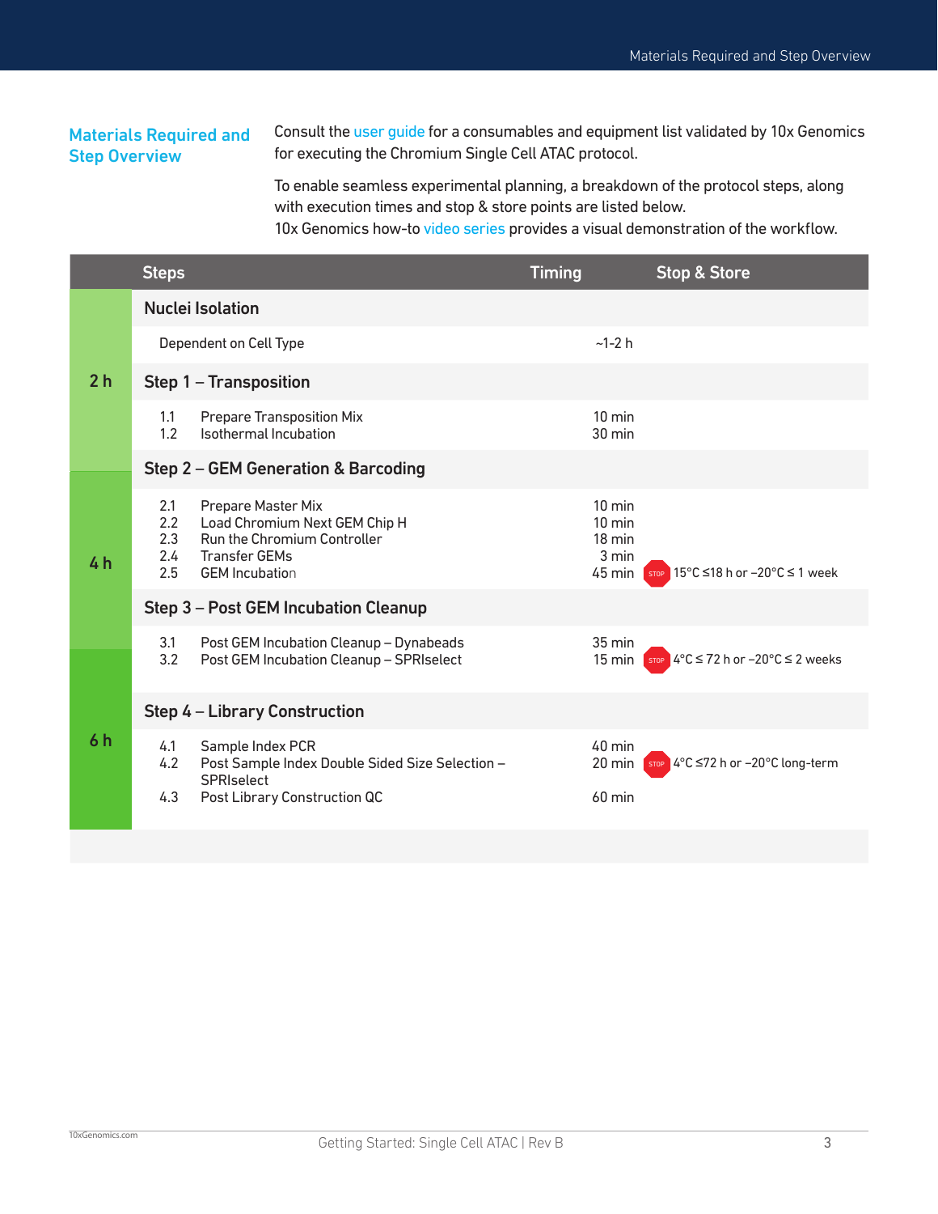# Materials Required and Step Overview

Consult the [user guide](https://www.10xgenomics.com/support/user-guides/single-cell-atac?menu%5BproductNames%5D=Single+Cell+ATAC&menu%5Bthroughput%5D=Standard) for a consumables and equipment list validated by 10x Genomics for executing the Chromium Single Cell ATAC protocol.

To enable seamless experimental planning, a breakdown of the protocol steps, along with execution times and stop & store points are listed below.

10x Genomics how-to [video series](https://pages.10xgenomics.com/sup-how-to-single-cell-atac-v2.html) provides a visual demonstration of the workflow.

|                | <b>Steps</b>                              |                                                                                                                                            | <b>Timing</b>                                                               | <b>Stop &amp; Store</b>                                          |
|----------------|-------------------------------------------|--------------------------------------------------------------------------------------------------------------------------------------------|-----------------------------------------------------------------------------|------------------------------------------------------------------|
| 2 <sub>h</sub> |                                           | <b>Nuclei Isolation</b>                                                                                                                    |                                                                             |                                                                  |
|                |                                           | Dependent on Cell Type                                                                                                                     | $-1-2 h$                                                                    |                                                                  |
|                |                                           | Step 1 - Transposition                                                                                                                     |                                                                             |                                                                  |
|                | 1.1<br>1.2                                | <b>Prepare Transposition Mix</b><br>Isothermal Incubation                                                                                  | $10 \text{ min}$<br>$30 \text{ min}$                                        |                                                                  |
|                |                                           | Step 2 – GEM Generation & Barcoding                                                                                                        |                                                                             |                                                                  |
| 4 <sub>h</sub> | 2.1<br>2.2<br>2.3<br>$2.4^{\circ}$<br>2.5 | Prepare Master Mix<br>Load Chromium Next GEM Chip H<br><b>Run the Chromium Controller</b><br><b>Transfer GEMs</b><br><b>GEM</b> Incubation | $10 \text{ min}$<br>$10 \text{ min}$<br>$18 \text{ min}$<br>3 min<br>45 min | stop 15°C ≤18 h or -20°C ≤ 1 week                                |
|                |                                           | Step 3 - Post GEM Incubation Cleanup                                                                                                       |                                                                             |                                                                  |
| 6 h            | 3.1<br>3.2                                | Post GEM Incubation Cleanup - Dynabeads<br>Post GEM Incubation Cleanup - SPRIselect                                                        | $35 \text{ min}$<br>$15 \text{ min}$                                        | stop $4^{\circ}$ C $\leq$ 72 h or $-20^{\circ}$ C $\leq$ 2 weeks |
|                |                                           | <b>Step 4 – Library Construction</b>                                                                                                       |                                                                             |                                                                  |
|                | 4.1<br>4.2                                | Sample Index PCR<br>Post Sample Index Double Sided Size Selection -<br><b>SPRIselect</b>                                                   | 40 min<br>20 min                                                            | stop 4°C ≤72 h or -20°C long-term                                |
|                | 4.3                                       | Post Library Construction QC                                                                                                               | $60$ min                                                                    |                                                                  |